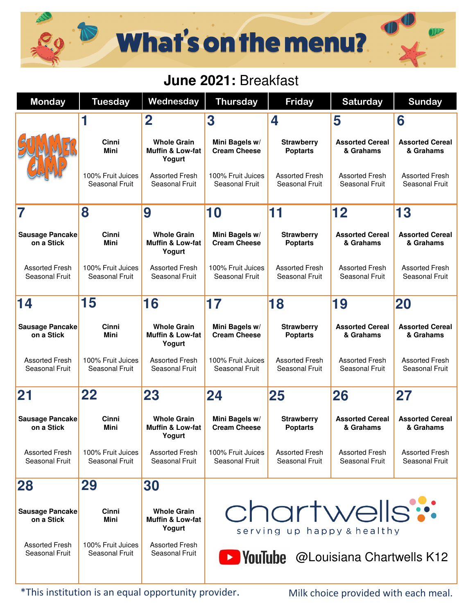## What's on the menu?

## **June 2021:** Breakfast

| <b>Monday</b>                           | <b>Tuesday</b>                      | Wednesday                                                   | <b>Thursday</b>                             | <b>Friday</b>                           | <b>Saturday</b>                         | <b>Sunday</b>                           |  |  |
|-----------------------------------------|-------------------------------------|-------------------------------------------------------------|---------------------------------------------|-----------------------------------------|-----------------------------------------|-----------------------------------------|--|--|
|                                         |                                     | $\overline{\mathbf{2}}$                                     | 3                                           | 4                                       | 5                                       | 6                                       |  |  |
|                                         | Cinni<br>Mini                       | <b>Whole Grain</b><br><b>Muffin &amp; Low-fat</b><br>Yogurt | Mini Bagels w/<br><b>Cream Cheese</b>       | <b>Strawberry</b><br><b>Poptarts</b>    | <b>Assorted Cereal</b><br>& Grahams     | <b>Assorted Cereal</b><br>& Grahams     |  |  |
|                                         | 100% Fruit Juices<br>Seasonal Fruit | <b>Assorted Fresh</b><br>Seasonal Fruit                     | 100% Fruit Juices<br>Seasonal Fruit         | <b>Assorted Fresh</b><br>Seasonal Fruit | <b>Assorted Fresh</b><br>Seasonal Fruit | <b>Assorted Fresh</b><br>Seasonal Fruit |  |  |
| 7                                       | 8                                   | 9                                                           | 10                                          | 11                                      | 12                                      | 13                                      |  |  |
| <b>Sausage Pancake</b><br>on a Stick    | Cinni<br>Mini                       | <b>Whole Grain</b><br>Muffin & Low-fat<br>Yogurt            | Mini Bagels w/<br><b>Cream Cheese</b>       | <b>Strawberry</b><br><b>Poptarts</b>    | <b>Assorted Cereal</b><br>& Grahams     | <b>Assorted Cereal</b><br>& Grahams     |  |  |
| <b>Assorted Fresh</b><br>Seasonal Fruit | 100% Fruit Juices<br>Seasonal Fruit | <b>Assorted Fresh</b><br>Seasonal Fruit                     | 100% Fruit Juices<br>Seasonal Fruit         | <b>Assorted Fresh</b><br>Seasonal Fruit | <b>Assorted Fresh</b><br>Seasonal Fruit | <b>Assorted Fresh</b><br>Seasonal Fruit |  |  |
| 14                                      | 15                                  | 16                                                          | 17                                          | 18                                      | 19                                      | 20                                      |  |  |
| <b>Sausage Pancake</b><br>on a Stick    | Cinni<br>Mini                       | <b>Whole Grain</b><br><b>Muffin &amp; Low-fat</b><br>Yogurt | Mini Bagels w/<br><b>Cream Cheese</b>       | <b>Strawberry</b><br><b>Poptarts</b>    | <b>Assorted Cereal</b><br>& Grahams     | <b>Assorted Cereal</b><br>& Grahams     |  |  |
| <b>Assorted Fresh</b><br>Seasonal Fruit | 100% Fruit Juices<br>Seasonal Fruit | <b>Assorted Fresh</b><br>Seasonal Fruit                     | 100% Fruit Juices<br>Seasonal Fruit         | <b>Assorted Fresh</b><br>Seasonal Fruit | <b>Assorted Fresh</b><br>Seasonal Fruit | <b>Assorted Fresh</b><br>Seasonal Fruit |  |  |
| 21                                      | 22                                  | 23                                                          | 24                                          | 25                                      | 26                                      | 27                                      |  |  |
| <b>Sausage Pancake</b><br>on a Stick    | Cinni<br>Mini                       | <b>Whole Grain</b><br>Muffin & Low-fat<br>Yogurt            | Mini Bagels w/<br><b>Cream Cheese</b>       | <b>Strawberry</b><br><b>Poptarts</b>    | <b>Assorted Cereal</b><br>& Grahams     | <b>Assorted Cereal</b><br>& Grahams     |  |  |
| <b>Assorted Fresh</b><br>Seasonal Fruit | 100% Fruit Juices<br>Seasonal Fruit | <b>Assorted Fresh</b><br>Seasonal Fruit                     | 100% Fruit Juices<br>Seasonal Fruit         | <b>Assorted Fresh</b><br>Seasonal Fruit | <b>Assorted Fresh</b><br>Seasonal Fruit | <b>Assorted Fresh</b><br>Seasonal Fruit |  |  |
| 28                                      | 29                                  | 30                                                          |                                             |                                         |                                         |                                         |  |  |
| <b>Sausage Pancake</b><br>on a Stick    | <b>Cinni</b><br>Mini                | <b>Whole Grain</b><br>Muffin & Low-fat<br>Yogurt            | chartwells:<br>serving up happy & healthy   |                                         |                                         |                                         |  |  |
| <b>Assorted Fresh</b><br>Seasonal Fruit | 100% Fruit Juices<br>Seasonal Fruit | <b>Assorted Fresh</b><br>Seasonal Fruit                     | <b>EXPOLITIBE</b> @Louisiana Chartwells K12 |                                         |                                         |                                         |  |  |

\*This institution is an equal opportunity provider.

Milk choice provided with each meal.